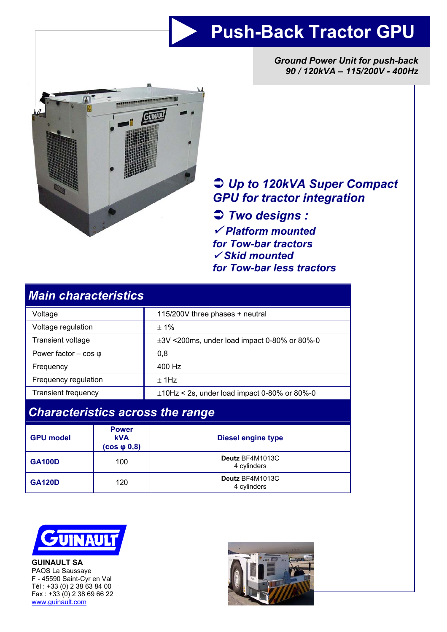# **Push-Back Tractor GPU**

*Ground Power Unit for push-back 90 / 120kVA – 115/200V - 400Hz* 



# Â *Up to 120kVA Super Compact GPU for tractor integration*

Â *Two designs :*  9 *Platform mounted for Tow-bar tractors*  <sup>9</sup> *Skid mounted for Tow-bar less tractors* 

| <b>Main characteristics</b>             |              |                                                   |  |  |  |  |
|-----------------------------------------|--------------|---------------------------------------------------|--|--|--|--|
| Voltage                                 |              | 115/200V three phases + neutral                   |  |  |  |  |
| Voltage regulation                      |              | $± 1\%$                                           |  |  |  |  |
| Transient voltage                       |              | $\pm 3V$ <200ms, under load impact 0-80% or 80%-0 |  |  |  |  |
| Power factor $-$ cos $\varphi$          |              | 0,8                                               |  |  |  |  |
| Frequency                               |              | 400 Hz                                            |  |  |  |  |
| Frequency regulation                    |              | $±$ 1Hz                                           |  |  |  |  |
| <b>Transient frequency</b>              |              | $\pm$ 10Hz < 2s, under load impact 0-80% or 80%-0 |  |  |  |  |
| <b>Characteristics across the range</b> |              |                                                   |  |  |  |  |
|                                         | <b>Power</b> |                                                   |  |  |  |  |

| <b>GPU model</b> | <b>Power</b><br><b>kVA</b><br>$(cos \phi 0, 8)$ | <b>Diesel engine type</b>      |  |
|------------------|-------------------------------------------------|--------------------------------|--|
| <b>GA100D</b>    | 100                                             | Deutz BF4M1013C<br>4 cylinders |  |
| <b>GA120D</b>    | 120                                             | Deutz BF4M1013C<br>4 cylinders |  |



**GUINAULT SA**  PAOS La Saussaye F - 45590 Saint-Cyr en Val Tél : +33 (0) 2 38 63 84 00 Fax : +33 (0) 2 38 69 66 22 www.guinault.com